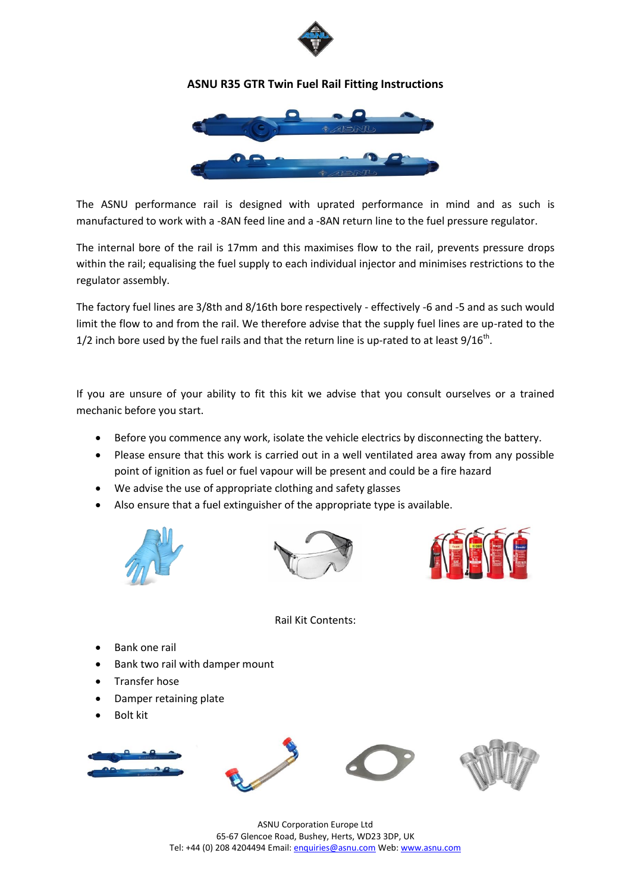

## **ASNU R35 GTR Twin Fuel Rail Fitting Instructions**



The ASNU performance rail is designed with uprated performance in mind and as such is manufactured to work with a -8AN feed line and a -8AN return line to the fuel pressure regulator.

The internal bore of the rail is 17mm and this maximises flow to the rail, prevents pressure drops within the rail; equalising the fuel supply to each individual injector and minimises restrictions to the regulator assembly.

The factory fuel lines are 3/8th and 8/16th bore respectively - effectively -6 and -5 and as such would limit the flow to and from the rail. We therefore advise that the supply fuel lines are up-rated to the 1/2 inch bore used by the fuel rails and that the return line is up-rated to at least  $9/16^{th}$ .

If you are unsure of your ability to fit this kit we advise that you consult ourselves or a trained mechanic before you start.

- Before you commence any work, isolate the vehicle electrics by disconnecting the battery.
- Please ensure that this work is carried out in a well ventilated area away from any possible point of ignition as fuel or fuel vapour will be present and could be a fire hazard
- We advise the use of appropriate clothing and safety glasses
- Also ensure that a fuel extinguisher of the appropriate type is available.







Rail Kit Contents:

- Bank one rail
- Bank two rail with damper mount
- Transfer hose
- Damper retaining plate
- Bolt kit



ASNU Corporation Europe Ltd 65-67 Glencoe Road, Bushey, Herts, WD23 3DP, UK Tel: +44 (0) 208 4204494 Email[: enquiries@asnu.com](mailto:enquiries@asnu.com) Web[: www.asnu.com](http://www.asnu.com/)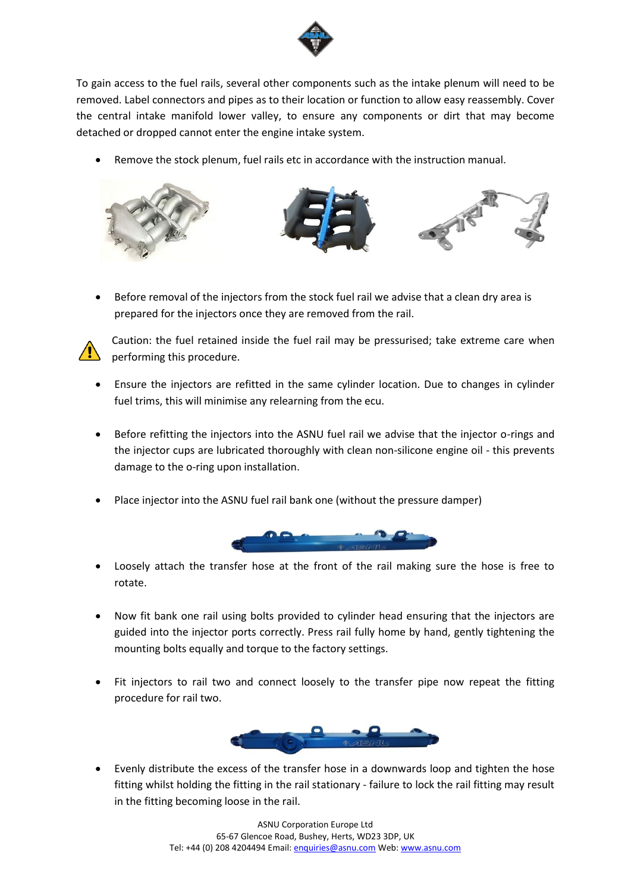

To gain access to the fuel rails, several other components such as the intake plenum will need to be removed. Label connectors and pipes as to their location or function to allow easy reassembly. Cover the central intake manifold lower valley, to ensure any components or dirt that may become detached or dropped cannot enter the engine intake system.

Remove the stock plenum, fuel rails etc in accordance with the instruction manual.



 Before removal of the injectors from the stock fuel rail we advise that a clean dry area is prepared for the injectors once they are removed from the rail.



Caution: the fuel retained inside the fuel rail may be pressurised; take extreme care when performing this procedure.

- Ensure the injectors are refitted in the same cylinder location. Due to changes in cylinder fuel trims, this will minimise any relearning from the ecu.
- Before refitting the injectors into the ASNU fuel rail we advise that the injector o-rings and the injector cups are lubricated thoroughly with clean non-silicone engine oil - this prevents damage to the o-ring upon installation.
- Place injector into the ASNU fuel rail bank one (without the pressure damper)



- Loosely attach the transfer hose at the front of the rail making sure the hose is free to rotate.
- Now fit bank one rail using bolts provided to cylinder head ensuring that the injectors are guided into the injector ports correctly. Press rail fully home by hand, gently tightening the mounting bolts equally and torque to the factory settings.
- Fit injectors to rail two and connect loosely to the transfer pipe now repeat the fitting procedure for rail two.



 Evenly distribute the excess of the transfer hose in a downwards loop and tighten the hose fitting whilst holding the fitting in the rail stationary - failure to lock the rail fitting may result in the fitting becoming loose in the rail.